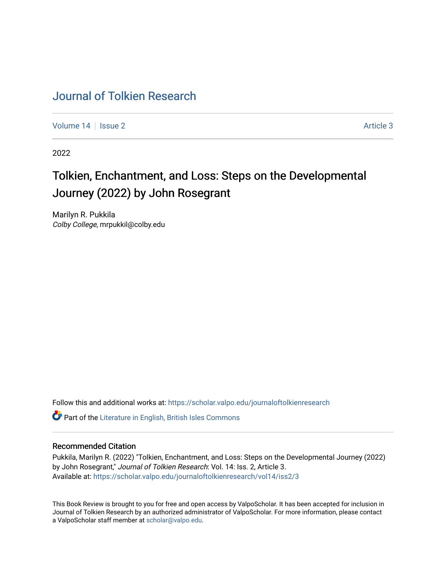## [Journal of Tolkien Research](https://scholar.valpo.edu/journaloftolkienresearch)

[Volume 14](https://scholar.valpo.edu/journaloftolkienresearch/vol14) | [Issue 2](https://scholar.valpo.edu/journaloftolkienresearch/vol14/iss2) Article 3

2022

## Tolkien, Enchantment, and Loss: Steps on the Developmental Journey (2022) by John Rosegrant

Marilyn R. Pukkila Colby College, mrpukkil@colby.edu

Follow this and additional works at: [https://scholar.valpo.edu/journaloftolkienresearch](https://scholar.valpo.edu/journaloftolkienresearch?utm_source=scholar.valpo.edu%2Fjournaloftolkienresearch%2Fvol14%2Fiss2%2F3&utm_medium=PDF&utm_campaign=PDFCoverPages) 

**C** Part of the [Literature in English, British Isles Commons](http://network.bepress.com/hgg/discipline/456?utm_source=scholar.valpo.edu%2Fjournaloftolkienresearch%2Fvol14%2Fiss2%2F3&utm_medium=PDF&utm_campaign=PDFCoverPages)

## Recommended Citation

Pukkila, Marilyn R. (2022) "Tolkien, Enchantment, and Loss: Steps on the Developmental Journey (2022) by John Rosegrant," Journal of Tolkien Research: Vol. 14: Iss. 2, Article 3. Available at: [https://scholar.valpo.edu/journaloftolkienresearch/vol14/iss2/3](https://scholar.valpo.edu/journaloftolkienresearch/vol14/iss2/3?utm_source=scholar.valpo.edu%2Fjournaloftolkienresearch%2Fvol14%2Fiss2%2F3&utm_medium=PDF&utm_campaign=PDFCoverPages) 

This Book Review is brought to you for free and open access by ValpoScholar. It has been accepted for inclusion in Journal of Tolkien Research by an authorized administrator of ValpoScholar. For more information, please contact a ValpoScholar staff member at [scholar@valpo.edu](mailto:scholar@valpo.edu).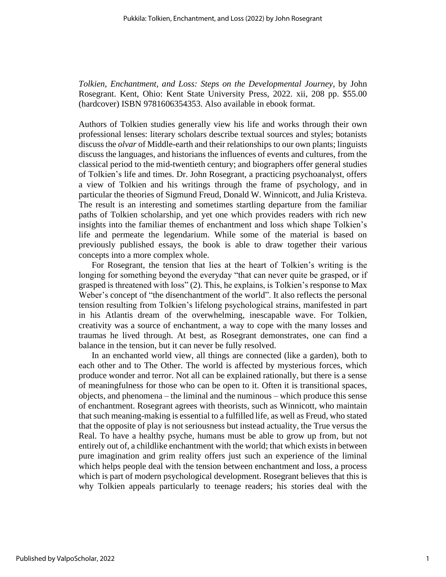*Tolkien, Enchantment, and Loss: Steps on the Developmental Journey*, by John Rosegrant. Kent, Ohio: Kent State University Press, 2022. xii, 208 pp. \$55.00 (hardcover) ISBN 9781606354353. Also available in ebook format.

Authors of Tolkien studies generally view his life and works through their own professional lenses: literary scholars describe textual sources and styles; botanists discuss the *olvar* of Middle-earth and their relationships to our own plants; linguists discuss the languages, and historians the influences of events and cultures, from the classical period to the mid-twentieth century; and biographers offer general studies of Tolkien's life and times. Dr. John Rosegrant, a practicing psychoanalyst, offers a view of Tolkien and his writings through the frame of psychology, and in particular the theories of Sigmund Freud, Donald W. Winnicott, and Julia Kristeva. The result is an interesting and sometimes startling departure from the familiar paths of Tolkien scholarship, and yet one which provides readers with rich new insights into the familiar themes of enchantment and loss which shape Tolkien's life and permeate the legendarium. While some of the material is based on previously published essays, the book is able to draw together their various concepts into a more complex whole.

For Rosegrant, the tension that lies at the heart of Tolkien's writing is the longing for something beyond the everyday "that can never quite be grasped, or if grasped is threatened with loss" (2). This, he explains, is Tolkien's response to Max Weber's concept of "the disenchantment of the world". It also reflects the personal tension resulting from Tolkien's lifelong psychological strains, manifested in part in his Atlantis dream of the overwhelming, inescapable wave. For Tolkien, creativity was a source of enchantment, a way to cope with the many losses and traumas he lived through. At best, as Rosegrant demonstrates, one can find a balance in the tension, but it can never be fully resolved.

In an enchanted world view, all things are connected (like a garden), both to each other and to The Other. The world is affected by mysterious forces, which produce wonder and terror. Not all can be explained rationally, but there is a sense of meaningfulness for those who can be open to it. Often it is transitional spaces, objects, and phenomena – the liminal and the numinous – which produce this sense of enchantment. Rosegrant agrees with theorists, such as Winnicott, who maintain that such meaning-making is essential to a fulfilled life, as well as Freud, who stated that the opposite of play is not seriousness but instead actuality, the True versus the Real. To have a healthy psyche, humans must be able to grow up from, but not entirely out of, a childlike enchantment with the world; that which exists in between pure imagination and grim reality offers just such an experience of the liminal which helps people deal with the tension between enchantment and loss, a process which is part of modern psychological development. Rosegrant believes that this is why Tolkien appeals particularly to teenage readers; his stories deal with the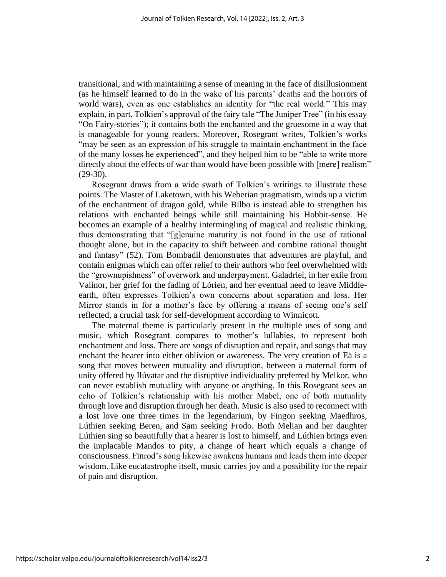transitional, and with maintaining a sense of meaning in the face of disillusionment (as he himself learned to do in the wake of his parents' deaths and the horrors of world wars), even as one establishes an identity for "the real world." This may explain, in part, Tolkien's approval of the fairy tale "The Juniper Tree" (in his essay "On Fairy-stories"); it contains both the enchanted and the gruesome in a way that is manageable for young readers. Moreover, Rosegrant writes, Tolkien's works "may be seen as an expression of his struggle to maintain enchantment in the face of the many losses he experienced", and they helped him to be "able to write more directly about the effects of war than would have been possible with [mere] realism" (29-30).

Rosegrant draws from a wide swath of Tolkien's writings to illustrate these points. The Master of Laketown, with his Weberian pragmatism, winds up a victim of the enchantment of dragon gold, while Bilbo is instead able to strengthen his relations with enchanted beings while still maintaining his Hobbit-sense. He becomes an example of a healthy intermingling of magical and realistic thinking, thus demonstrating that "[g]enuine maturity is not found in the use of rational thought alone, but in the capacity to shift between and combine rational thought and fantasy" (52). Tom Bombadil demonstrates that adventures are playful, and contain enigmas which can offer relief to their authors who feel overwhelmed with the "grownupishness" of overwork and underpayment. Galadriel, in her exile from Valinor, her grief for the fading of Lórien, and her eventual need to leave Middleearth, often expresses Tolkien's own concerns about separation and loss. Her Mirror stands in for a mother's face by offering a means of seeing one's self reflected, a crucial task for self-development according to Winnicott.

The maternal theme is particularly present in the multiple uses of song and music, which Rosegrant compares to mother's lullabies, to represent both enchantment and loss. There are songs of disruption and repair, and songs that may enchant the hearer into either oblivion or awareness. The very creation of Eä is a song that moves between mutuality and disruption, between a maternal form of unity offered by Ilúvatar and the disruptive individuality preferred by Melkor, who can never establish mutuality with anyone or anything. In this Rosegrant sees an echo of Tolkien's relationship with his mother Mabel, one of both mutuality through love and disruption through her death. Music is also used to reconnect with a lost love one three times in the legendarium, by Fingon seeking Maedhros, Lúthien seeking Beren, and Sam seeking Frodo. Both Melian and her daughter Lúthien sing so beautifully that a hearer is lost to himself, and Lúthien brings even the implacable Mandos to pity, a change of heart which equals a change of consciousness. Finrod's song likewise awakens humans and leads them into deeper wisdom. Like eucatastrophe itself, music carries joy and a possibility for the repair of pain and disruption.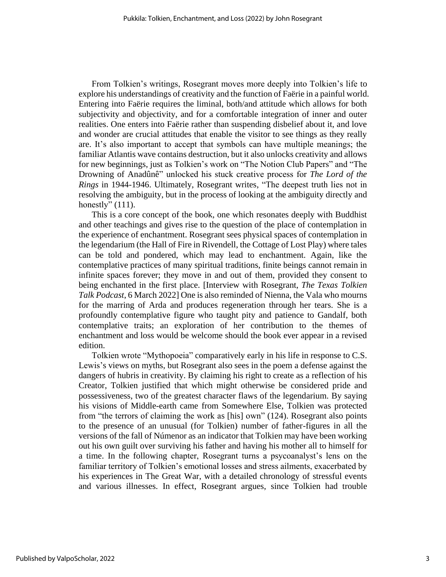From Tolkien's writings, Rosegrant moves more deeply into Tolkien's life to explore his understandings of creativity and the function of Faërie in a painful world. Entering into Faërie requires the liminal, both/and attitude which allows for both subjectivity and objectivity, and for a comfortable integration of inner and outer realities. One enters into Faërie rather than suspending disbelief about it, and love and wonder are crucial attitudes that enable the visitor to see things as they really are. It's also important to accept that symbols can have multiple meanings; the familiar Atlantis wave contains destruction, but it also unlocks creativity and allows for new beginnings, just as Tolkien's work on "The Notion Club Papers" and "The Drowning of Anadûnê" unlocked his stuck creative process for *The Lord of the Rings* in 1944-1946. Ultimately, Rosegrant writes, "The deepest truth lies not in resolving the ambiguity, but in the process of looking at the ambiguity directly and honestly"  $(111)$ .

This is a core concept of the book, one which resonates deeply with Buddhist and other teachings and gives rise to the question of the place of contemplation in the experience of enchantment. Rosegrant sees physical spaces of contemplation in the legendarium (the Hall of Fire in Rivendell, the Cottage of Lost Play) where tales can be told and pondered, which may lead to enchantment. Again, like the contemplative practices of many spiritual traditions, finite beings cannot remain in infinite spaces forever; they move in and out of them, provided they consent to being enchanted in the first place. [Interview with Rosegrant, *The Texas Tolkien Talk Podcast*, 6 March 2022] One is also reminded of Nienna, the Vala who mourns for the marring of Arda and produces regeneration through her tears. She is a profoundly contemplative figure who taught pity and patience to Gandalf, both contemplative traits; an exploration of her contribution to the themes of enchantment and loss would be welcome should the book ever appear in a revised edition.

Tolkien wrote "Mythopoeia" comparatively early in his life in response to C.S. Lewis's views on myths, but Rosegrant also sees in the poem a defense against the dangers of hubris in creativity. By claiming his right to create as a reflection of his Creator, Tolkien justified that which might otherwise be considered pride and possessiveness, two of the greatest character flaws of the legendarium. By saying his visions of Middle-earth came from Somewhere Else, Tolkien was protected from "the terrors of claiming the work as [his] own" (124). Rosegrant also points to the presence of an unusual (for Tolkien) number of father-figures in all the versions of the fall of Númenor as an indicator that Tolkien may have been working out his own guilt over surviving his father and having his mother all to himself for a time. In the following chapter, Rosegrant turns a psycoanalyst's lens on the familiar territory of Tolkien's emotional losses and stress ailments, exacerbated by his experiences in The Great War, with a detailed chronology of stressful events and various illnesses. In effect, Rosegrant argues, since Tolkien had trouble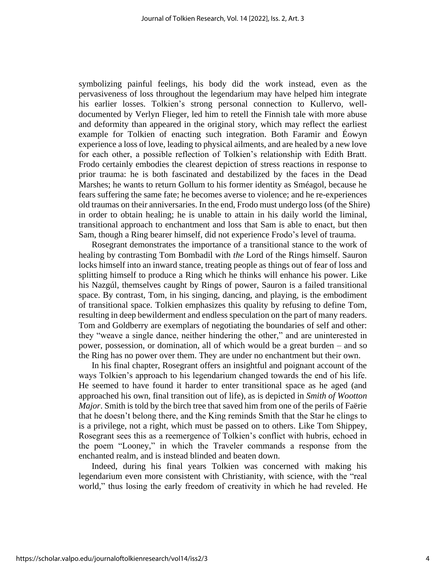symbolizing painful feelings, his body did the work instead, even as the pervasiveness of loss throughout the legendarium may have helped him integrate his earlier losses. Tolkien's strong personal connection to Kullervo, welldocumented by Verlyn Flieger, led him to retell the Finnish tale with more abuse and deformity than appeared in the original story, which may reflect the earliest example for Tolkien of enacting such integration. Both Faramir and Éowyn experience a loss of love, leading to physical ailments, and are healed by a new love for each other, a possible reflection of Tolkien's relationship with Edith Bratt. Frodo certainly embodies the clearest depiction of stress reactions in response to prior trauma: he is both fascinated and destabilized by the faces in the Dead Marshes; he wants to return Gollum to his former identity as Sméagol, because he fears suffering the same fate; he becomes averse to violence; and he re-experiences old traumas on their anniversaries. In the end, Frodo must undergo loss (of the Shire) in order to obtain healing; he is unable to attain in his daily world the liminal, transitional approach to enchantment and loss that Sam is able to enact, but then Sam, though a Ring bearer himself, did not experience Frodo's level of trauma.

Rosegrant demonstrates the importance of a transitional stance to the work of healing by contrasting Tom Bombadil with *the* Lord of the Rings himself. Sauron locks himself into an inward stance, treating people as things out of fear of loss and splitting himself to produce a Ring which he thinks will enhance his power. Like his Nazgúl, themselves caught by Rings of power, Sauron is a failed transitional space. By contrast, Tom, in his singing, dancing, and playing, is the embodiment of transitional space. Tolkien emphasizes this quality by refusing to define Tom, resulting in deep bewilderment and endless speculation on the part of many readers. Tom and Goldberry are exemplars of negotiating the boundaries of self and other: they "weave a single dance, neither hindering the other," and are uninterested in power, possession, or domination, all of which would be a great burden – and so the Ring has no power over them. They are under no enchantment but their own.

In his final chapter, Rosegrant offers an insightful and poignant account of the ways Tolkien's approach to his legendarium changed towards the end of his life. He seemed to have found it harder to enter transitional space as he aged (and approached his own, final transition out of life), as is depicted in *Smith of Wootton Major*. Smith is told by the birch tree that saved him from one of the perils of Faërie that he doesn't belong there, and the King reminds Smith that the Star he clings to is a privilege, not a right, which must be passed on to others. Like Tom Shippey, Rosegrant sees this as a reemergence of Tolkien's conflict with hubris, echoed in the poem "Looney," in which the Traveler commands a response from the enchanted realm, and is instead blinded and beaten down.

Indeed, during his final years Tolkien was concerned with making his legendarium even more consistent with Christianity, with science, with the "real world," thus losing the early freedom of creativity in which he had reveled. He